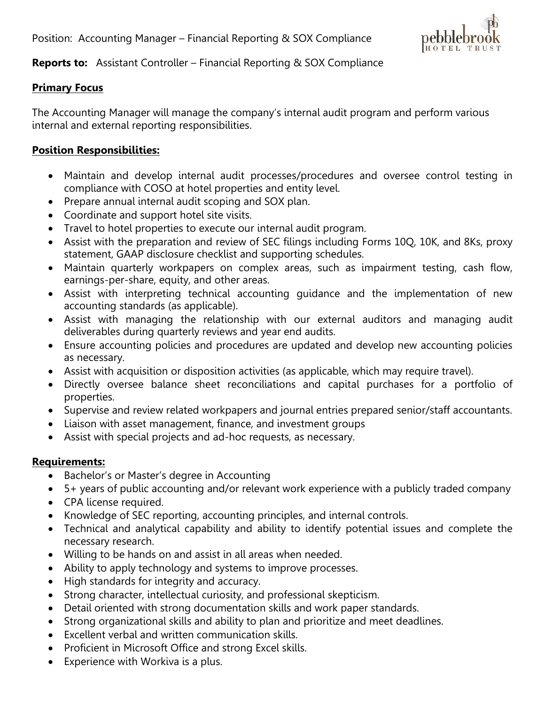

## **Reports to:** Assistant Controller – Financial Reporting & SOX Compliance

## **Primary Focus**

The Accounting Manager will manage the company's internal audit program and perform various internal and external reporting responsibilities.

## **Position Responsibilities:**

- Maintain and develop internal audit processes/procedures and oversee control testing in compliance with COSO at hotel properties and entity level.
- Prepare annual internal audit scoping and SOX plan.
- Coordinate and support hotel site visits.
- Travel to hotel properties to execute our internal audit program.
- Assist with the preparation and review of SEC filings including Forms 10Q, 10K, and 8Ks, proxy statement, GAAP disclosure checklist and supporting schedules.
- Maintain quarterly workpapers on complex areas, such as impairment testing, cash flow, earnings-per-share, equity, and other areas.
- Assist with interpreting technical accounting guidance and the implementation of new accounting standards (as applicable).
- Assist with managing the relationship with our external auditors and managing audit deliverables during quarterly reviews and year end audits.
- Ensure accounting policies and procedures are updated and develop new accounting policies as necessary.
- Assist with acquisition or disposition activities (as applicable, which may require travel).
- Directly oversee balance sheet reconciliations and capital purchases for a portfolio of properties.
- Supervise and review related workpapers and journal entries prepared senior/staff accountants.
- Liaison with asset management, finance, and investment groups
- Assist with special projects and ad-hoc requests, as necessary.

## **Requirements:**

- Bachelor's or Master's degree in Accounting
- 5+ years of public accounting and/or relevant work experience with a publicly traded company
- CPA license required.
- Knowledge of SEC reporting, accounting principles, and internal controls.
- Technical and analytical capability and ability to identify potential issues and complete the necessary research.
- Willing to be hands on and assist in all areas when needed.
- Ability to apply technology and systems to improve processes.
- High standards for integrity and accuracy.
- Strong character, intellectual curiosity, and professional skepticism.
- Detail oriented with strong documentation skills and work paper standards.
- Strong organizational skills and ability to plan and prioritize and meet deadlines.
- Excellent verbal and written communication skills.
- Proficient in Microsoft Office and strong Excel skills.
- Experience with Workiva is a plus.